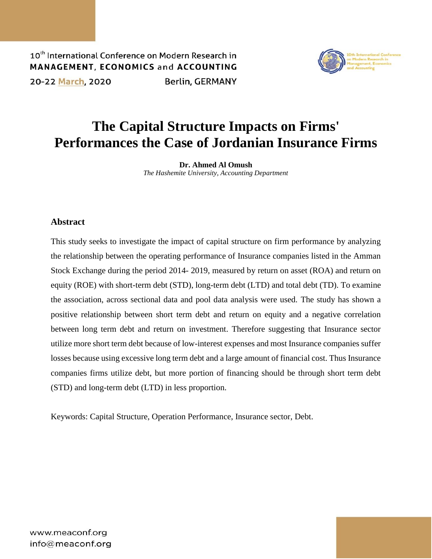

# **The Capital Structure Impacts on Firms' Performances the Case of Jordanian Insurance Firms**

**Dr. Ahmed Al Omush** *The Hashemite University, Accounting Department*

#### **Abstract**

This study seeks to investigate the impact of capital structure on firm performance by analyzing the relationship between the operating performance of Insurance companies listed in the Amman Stock Exchange during the period 2014- 2019, measured by return on asset (ROA) and return on equity (ROE) with short-term debt (STD), long-term debt (LTD) and total debt (TD). To examine the association, across sectional data and pool data analysis were used. The study has shown a positive relationship between short term debt and return on equity and a negative correlation between long term debt and return on investment. Therefore suggesting that Insurance sector utilize more short term debt because of low-interest expenses and most Insurance companies suffer losses because using excessive long term debt and a large amount of financial cost. Thus Insurance companies firms utilize debt, but more portion of financing should be through short term debt (STD) and long-term debt (LTD) in less proportion.

Keywords: Capital Structure, Operation Performance, Insurance sector, Debt.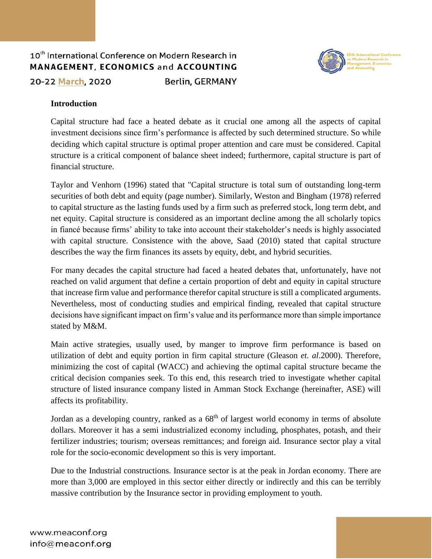

#### **Introduction**

Capital structure had face a heated debate as it crucial one among all the aspects of capital investment decisions since firm's performance is affected by such determined structure. So while deciding which capital structure is optimal proper attention and care must be considered. Capital structure is a critical component of balance sheet indeed; furthermore, capital structure is part of financial structure.

Taylor and Venhorn (1996) stated that "Capital structure is total sum of outstanding long-term securities of both debt and equity (page number). Similarly, Weston and Bingham (1978) referred to capital structure as the lasting funds used by a firm such as preferred stock, long term debt, and net equity. Capital structure is considered as an important decline among the all scholarly topics in fiancé because firms' ability to take into account their stakeholder's needs is highly associated with capital structure. Consistence with the above, Saad (2010) stated that capital structure describes the way the firm finances its assets by equity, debt, and hybrid securities.

For many decades the capital structure had faced a heated debates that, unfortunately, have not reached on valid argument that define a certain proportion of debt and equity in capital structure that increase firm value and performance therefor capital structure is still a complicated arguments. Nevertheless, most of conducting studies and empirical finding, revealed that capital structure decisions have significant impact on firm's value and its performance more than simple importance stated by M&M.

Main active strategies, usually used, by manger to improve firm performance is based on utilization of debt and equity portion in firm capital structure (Gleason *et. al*.2000). Therefore, minimizing the cost of capital (WACC) and achieving the optimal capital structure became the critical decision companies seek. To this end, this research tried to investigate whether capital structure of listed insurance company listed in Amman Stock Exchange (hereinafter, ASE) will affects its profitability.

Jordan as a developing country, ranked as a  $68<sup>th</sup>$  of largest world economy in terms of absolute dollars. Moreover it has a semi industrialized economy including, phosphates, potash, and their fertilizer industries; tourism; overseas remittances; and foreign aid. Insurance sector play a vital role for the socio-economic development so this is very important.

Due to the Industrial constructions. Insurance sector is at the peak in Jordan economy. There are more than 3,000 are employed in this sector either directly or indirectly and this can be terribly massive contribution by the Insurance sector in providing employment to youth.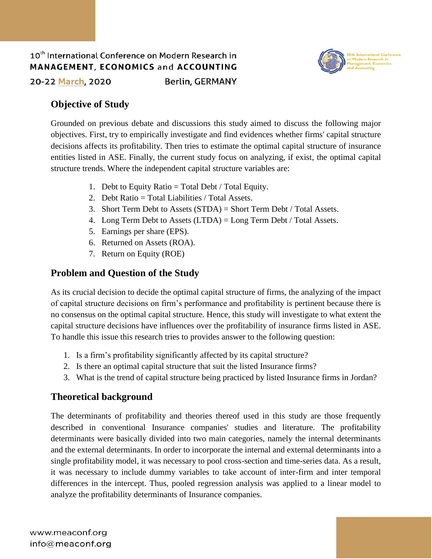

## **Objective of Study**

Grounded on previous debate and discussions this study aimed to discuss the following major objectives. First, try to empirically investigate and find evidences whether firms' capital structure decisions affects its profitability. Then tries to estimate the optimal capital structure of insurance entities listed in ASE. Finally, the current study focus on analyzing, if exist, the optimal capital structure trends. Where the independent capital structure variables are:

- 1. Debt to Equity Ratio  $=$  Total Debt / Total Equity.
- 2. Debt Ratio = Total Liabilities / Total Assets.
- 3. Short Term Debt to Assets (STDA) = Short Term Debt / Total Assets.
- 4. Long Term Debt to Assets (LTDA) = Long Term Debt / Total Assets.
- 5. Earnings per share (EPS).
- 6. Returned on Assets (ROA).
- 7. Return on Equity (ROE)

## **Problem and Question of the Study**

As its crucial decision to decide the optimal capital structure of firms, the analyzing of the impact of capital structure decisions on firm's performance and profitability is pertinent because there is no consensus on the optimal capital structure. Hence, this study will investigate to what extent the capital structure decisions have influences over the profitability of insurance firms listed in ASE. To handle this issue this research tries to provides answer to the following question:

- 1. Is a firm's profitability significantly affected by its capital structure?
- 2. Is there an optimal capital structure that suit the listed Insurance firms?
- 3. What is the trend of capital structure being practiced by listed Insurance firms in Jordan?

## **Theoretical background**

The determinants of profitability and theories thereof used in this study are those frequently described in conventional Insurance companies' studies and literature. The profitability determinants were basically divided into two main categories, namely the internal determinants and the external determinants. In order to incorporate the internal and external determinants into a single profitability model, it was necessary to pool cross-section and time-series data. As a result, it was necessary to include dummy variables to take account of inter-firm and inter temporal differences in the intercept. Thus, pooled regression analysis was applied to a linear model to analyze the profitability determinants of Insurance companies.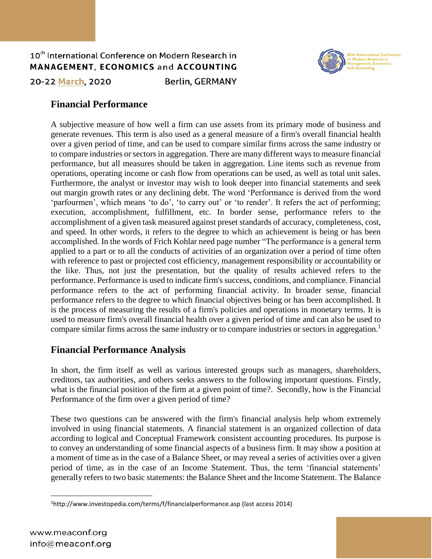

## **Financial Performance**

A subjective measure of how well a firm can use assets from its primary mode of business and generate revenues. This term is also used as a general measure of a firm's overall financial health over a given period of time, and can be used to compare similar firms across the same industry or to compare industries or sectors in aggregation. There are many different ways to measure financial performance, but all measures should be taken in aggregation. Line items such as revenue from operations, operating income or cash flow from operations can be used, as well as total unit sales. Furthermore, the analyst or investor may wish to look deeper into financial statements and seek out margin growth rates or any declining debt. The word 'Performance is derived from the word 'parfourmen', which means 'to do', 'to carry out' or 'to render'. It refers the act of performing; execution, accomplishment, fulfillment, etc. In border sense, performance refers to the accomplishment of a given task measured against preset standards of accuracy, completeness, cost, and speed. In other words, it refers to the degree to which an achievement is being or has been accomplished. In the words of Frich Kohlar need page number "The performance is a general term applied to a part or to all the conducts of activities of an organization over a period of time often with reference to past or projected cost efficiency, management responsibility or accountability or the like. Thus, not just the presentation, but the quality of results achieved refers to the performance. Performance is used to indicate firm's success, conditions, and compliance. Financial performance refers to the act of performing financial activity. In broader sense, financial performance refers to the degree to which financial objectives being or has been accomplished. It is the process of measuring the results of a firm's policies and operations in monetary terms. It is used to measure firm's overall financial health over a given period of time and can also be used to compare similar firms across the same industry or to compare industries or sectors in aggregation.<sup>1</sup>

## **Financial Performance Analysis**

In short, the firm itself as well as various interested groups such as managers, shareholders, creditors, tax authorities, and others seeks answers to the following important questions. Firstly, what is the financial position of the firm at a given point of time?. Secondly, how is the Financial Performance of the firm over a given period of time?

These two questions can be answered with the firm's financial analysis help whom extremely involved in using financial statements. A financial statement is an organized collection of data according to logical and Conceptual Framework consistent accounting procedures. Its purpose is to convey an understanding of some financial aspects of a business firm. It may show a position at a moment of time as in the case of a Balance Sheet, or may reveal a series of activities over a given period of time, as in the case of an Income Statement. Thus, the term 'financial statements' generally refers to two basic statements: the Balance Sheet and the Income Statement. The Balance

 $\overline{\phantom{a}}$ 

<sup>1</sup>http://www.investopedia.com/terms/f/financialperformance.asp (last access 2014)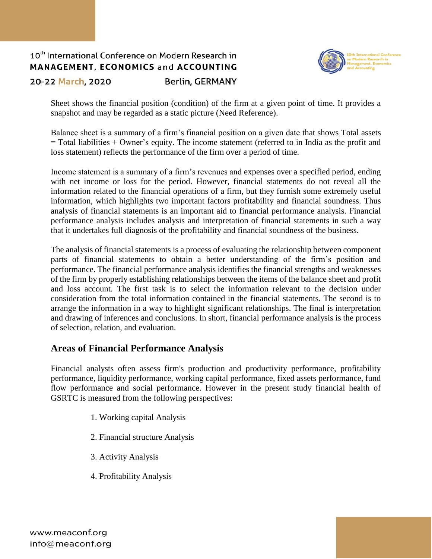

20-22 March, 2020

**Berlin, GERMANY** 

Sheet shows the financial position (condition) of the firm at a given point of time. It provides a snapshot and may be regarded as a static picture (Need Reference).

Balance sheet is a summary of a firm's financial position on a given date that shows Total assets  $=$  Total liabilities  $+$  Owner's equity. The income statement (referred to in India as the profit and loss statement) reflects the performance of the firm over a period of time.

Income statement is a summary of a firm's revenues and expenses over a specified period, ending with net income or loss for the period. However, financial statements do not reveal all the information related to the financial operations of a firm, but they furnish some extremely useful information, which highlights two important factors profitability and financial soundness. Thus analysis of financial statements is an important aid to financial performance analysis. Financial performance analysis includes analysis and interpretation of financial statements in such a way that it undertakes full diagnosis of the profitability and financial soundness of the business.

The analysis of financial statements is a process of evaluating the relationship between component parts of financial statements to obtain a better understanding of the firm's position and performance. The financial performance analysis identifies the financial strengths and weaknesses of the firm by properly establishing relationships between the items of the balance sheet and profit and loss account. The first task is to select the information relevant to the decision under consideration from the total information contained in the financial statements. The second is to arrange the information in a way to highlight significant relationships. The final is interpretation and drawing of inferences and conclusions. In short, financial performance analysis is the process of selection, relation, and evaluation.

# **Areas of Financial Performance Analysis**

Financial analysts often assess firm's production and productivity performance, profitability performance, liquidity performance, working capital performance, fixed assets performance, fund flow performance and social performance. However in the present study financial health of GSRTC is measured from the following perspectives:

- 1. Working capital Analysis
- 2. Financial structure Analysis
- 3. Activity Analysis
- 4. Profitability Analysis

www.meaconf.org info@meaconf.org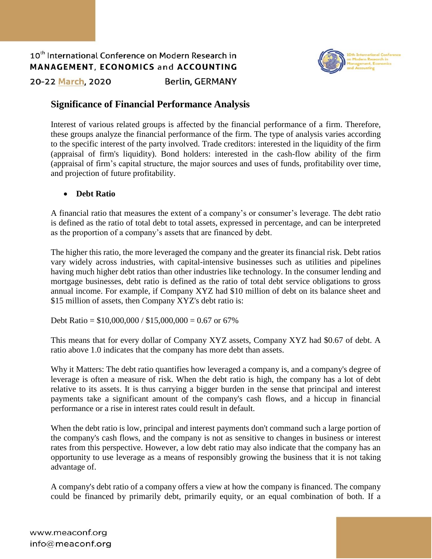

## **Significance of Financial Performance Analysis**

Interest of various related groups is affected by the financial performance of a firm. Therefore, these groups analyze the financial performance of the firm. The type of analysis varies according to the specific interest of the party involved. Trade creditors: interested in the liquidity of the firm (appraisal of firm's liquidity). Bond holders: interested in the cash-flow ability of the firm (appraisal of firm's capital structure, the major sources and uses of funds, profitability over time, and projection of future profitability.

#### **Debt Ratio**

A financial ratio that measures the extent of a company's or consumer's leverage. The debt ratio is defined as the ratio of total debt to total assets, expressed in percentage, and can be interpreted as the proportion of a company's assets that are financed by debt.

The higher this ratio, the more leveraged the company and the greater its financial risk. Debt ratios vary widely across industries, with capital-intensive businesses such as utilities and pipelines having much higher debt ratios than other industries like technology. In the consumer lending and mortgage businesses, debt ratio is defined as the ratio of total debt service obligations to gross annual income. For example, if Company XYZ had \$10 million of debt on its balance sheet and \$15 million of assets, then Company XYZ's debt ratio is:

Debt Ratio =  $$10,000,000 / $15,000,000 = 0.67$  or 67%

This means that for every dollar of Company XYZ assets, Company XYZ had \$0.67 of debt. A ratio above 1.0 indicates that the company has more debt than assets.

Why it Matters: The debt ratio quantifies how leveraged a company is, and a company's degree of leverage is often a measure of risk. When the debt ratio is high, the company has a lot of debt relative to its assets. It is thus carrying a bigger burden in the sense that principal and interest payments take a significant amount of the company's cash flows, and a hiccup in financial performance or a rise in interest rates could result in default.

When the debt ratio is low, principal and interest payments don't command such a large portion of the company's cash flows, and the company is not as sensitive to changes in business or interest rates from this perspective. However, a low debt ratio may also indicate that the company has an opportunity to use leverage as a means of responsibly growing the business that it is not taking advantage of.

A company's debt ratio of a company offers a view at how the company is financed. The company could be financed by primarily debt, primarily equity, or an equal combination of both. If a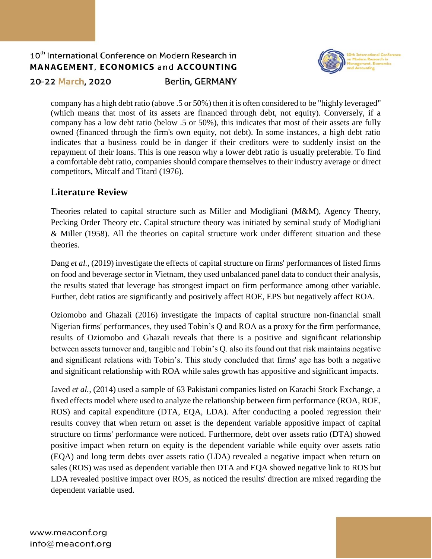#### 10<sup>th</sup> International Conference on Modern Research in MANAGEMENT, ECONOMICS and ACCOUNTING **Berlin, GERMANY** 20-22 March, 2020



company has a high debt ratio (above .5 or 50%) then it is often considered to be "highly leveraged" (which means that most of its assets are financed through debt, not equity). Conversely, if a company has a low debt ratio (below .5 or 50%), this indicates that most of their assets are fully owned (financed through the firm's own equity, not debt). In some instances, a high debt ratio indicates that a business could be in danger if their creditors were to suddenly insist on the repayment of their loans. This is one reason why a lower debt ratio is usually preferable. To find a comfortable debt ratio, companies should compare themselves to their industry average or direct competitors, Mitcalf and Titard (1976).

## **Literature Review**

Theories related to capital structure such as Miller and Modigliani (M&M), Agency Theory, Pecking Order Theory etc. Capital structure theory was initiated by seminal study of Modigliani & Miller (1958). All the theories on capital structure work under different situation and these theories.

Dang *et al.,* (2019) investigate the effects of capital structure on firms' performances of listed firms on food and beverage sector in Vietnam, they used unbalanced panel data to conduct their analysis, the results stated that leverage has strongest impact on firm performance among other variable. Further, debt ratios are significantly and positively affect ROE, EPS but negatively affect ROA.

Oziomobo and Ghazali (2016) investigate the impacts of capital structure non-financial small Nigerian firms' performances, they used Tobin's Q and ROA as a proxy for the firm performance, results of Oziomobo and Ghazali reveals that there is a positive and significant relationship between assets turnover and, tangible and Tobin's Q. also its found out that risk maintains negative and significant relations with Tobin's. This study concluded that firms' age has both a negative and significant relationship with ROA while sales growth has appositive and significant impacts.

Javed *et al.,* (2014) used a sample of 63 Pakistani companies listed on Karachi Stock Exchange, a fixed effects model where used to analyze the relationship between firm performance (ROA, ROE, ROS) and capital expenditure (DTA, EQA, LDA). After conducting a pooled regression their results convey that when return on asset is the dependent variable appositive impact of capital structure on firms' performance were noticed. Furthermore, debt over assets ratio (DTA) showed positive impact when return on equity is the dependent variable while equity over assets ratio (EQA) and long term debts over assets ratio (LDA) revealed a negative impact when return on sales (ROS) was used as dependent variable then DTA and EQA showed negative link to ROS but LDA revealed positive impact over ROS, as noticed the results' direction are mixed regarding the dependent variable used.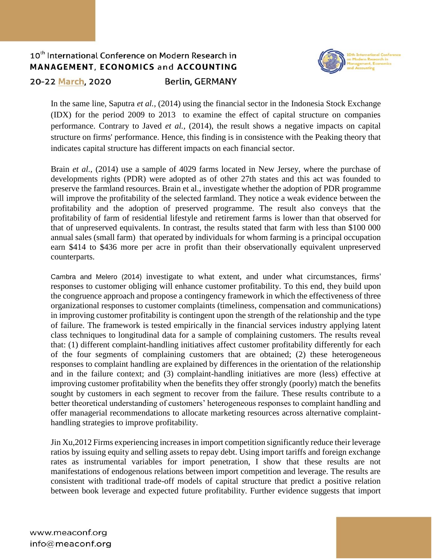

In the same line, Saputra *et al.,* (2014) using the financial sector in the Indonesia Stock Exchange (IDX) for the period 2009 to 2013 to examine the effect of capital structure on companies performance. Contrary to Javed *et al.,* (2014), the result shows a negative impacts on capital structure on firms' performance. Hence, this finding is in consistence with the Peaking theory that indicates capital structure has different impacts on each financial sector.

Brain *et al.,* (2014) use a sample of 4029 farms located in New Jersey, where the purchase of developments rights (PDR) were adopted as of other 27th states and this act was founded to preserve the farmland resources. Brain et al., investigate whether the adoption of PDR programme will improve the profitability of the selected farmland. They notice a weak evidence between the profitability and the adoption of preserved programme. The result also conveys that the profitability of farm of residential lifestyle and retirement farms is lower than that observed for that of unpreserved equivalents. In contrast, the results stated that farm with less than \$100 000 annual sales (small farm) that operated by individuals for whom farming is a principal occupation earn \$414 to \$436 more per acre in profit than their observationally equivalent unpreserved counterparts.

Cambra and Melero (2014) investigate to what extent, and under what circumstances, firms' responses to customer obliging will enhance customer profitability. To this end, they build upon the congruence approach and propose a contingency framework in which the effectiveness of three organizational responses to customer complaints (timeliness, compensation and communications) in improving customer profitability is contingent upon the strength of the relationship and the type of failure. The framework is tested empirically in the financial services industry applying latent class techniques to longitudinal data for a sample of complaining customers. The results reveal that: (1) different complaint-handling initiatives affect customer profitability differently for each of the four segments of complaining customers that are obtained; (2) these heterogeneous responses to complaint handling are explained by differences in the orientation of the relationship and in the failure context; and (3) complaint-handling initiatives are more (less) effective at improving customer profitability when the benefits they offer strongly (poorly) match the benefits sought by customers in each segment to recover from the failure. These results contribute to a better theoretical understanding of customers' heterogeneous responses to complaint handling and offer managerial recommendations to allocate marketing resources across alternative complainthandling strategies to improve profitability.

Jin Xu,2012 Firms experiencing increases in import competition significantly reduce their leverage ratios by issuing equity and selling assets to repay debt. Using import tariffs and foreign exchange rates as instrumental variables for import penetration, I show that these results are not manifestations of endogenous relations between import competition and leverage. The results are consistent with traditional trade-off models of capital structure that predict a positive relation between book leverage and expected future profitability. Further evidence suggests that import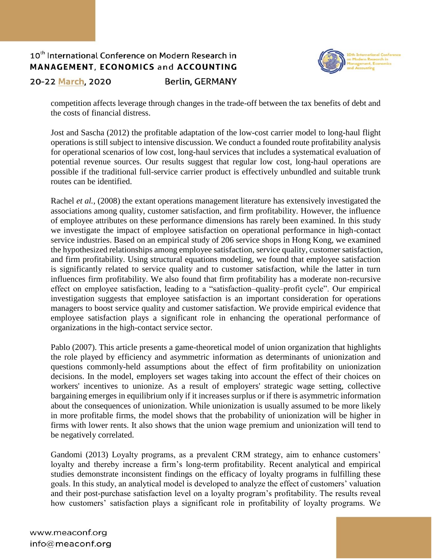

20-22 March, 2020

**Berlin, GERMANY** 

competition affects leverage through changes in the trade-off between the tax benefits of debt and the costs of financial distress.

Jost and Sascha (2012) the profitable adaptation of the low-cost carrier model to long-haul flight operations is still subject to intensive discussion. We conduct a founded route profitability analysis for operational scenarios of low cost, long-haul services that includes a systematical evaluation of potential revenue sources. Our results suggest that regular low cost, long-haul operations are possible if the traditional full-service carrier product is effectively unbundled and suitable trunk routes can be identified.

Rachel *et al.,* (2008) the extant operations management literature has extensively investigated the associations among quality, customer satisfaction, and firm profitability. However, the influence of employee attributes on these performance dimensions has rarely been examined. In this study we investigate the impact of employee satisfaction on operational performance in high-contact service industries. Based on an empirical study of 206 service shops in Hong Kong, we examined the hypothesized relationships among employee satisfaction, service quality, customer satisfaction, and firm profitability. Using structural equations modeling, we found that employee satisfaction is significantly related to service quality and to customer satisfaction, while the latter in turn influences firm profitability. We also found that firm profitability has a moderate non-recursive effect on employee satisfaction, leading to a "satisfaction–quality–profit cycle". Our empirical investigation suggests that employee satisfaction is an important consideration for operations managers to boost service quality and customer satisfaction. We provide empirical evidence that employee satisfaction plays a significant role in enhancing the operational performance of organizations in the high-contact service sector.

Pablo (2007). This article presents a game-theoretical model of union organization that highlights the role played by efficiency and asymmetric information as determinants of unionization and questions commonly-held assumptions about the effect of firm profitability on unionization decisions. In the model, employers set wages taking into account the effect of their choices on workers' incentives to unionize. As a result of employers' strategic wage setting, collective bargaining emerges in equilibrium only if it increases surplus or if there is asymmetric information about the consequences of unionization. While unionization is usually assumed to be more likely in more profitable firms, the model shows that the probability of unionization will be higher in firms with lower rents. It also shows that the union wage premium and unionization will tend to be negatively correlated.

Gandomi (2013) Loyalty programs, as a prevalent CRM strategy, aim to enhance customers' loyalty and thereby increase a firm's long-term profitability. Recent analytical and empirical studies demonstrate inconsistent findings on the efficacy of loyalty programs in fulfilling these goals. In this study, an analytical model is developed to analyze the effect of customers' valuation and their post-purchase satisfaction level on a loyalty program's profitability. The results reveal how customers' satisfaction plays a significant role in profitability of loyalty programs. We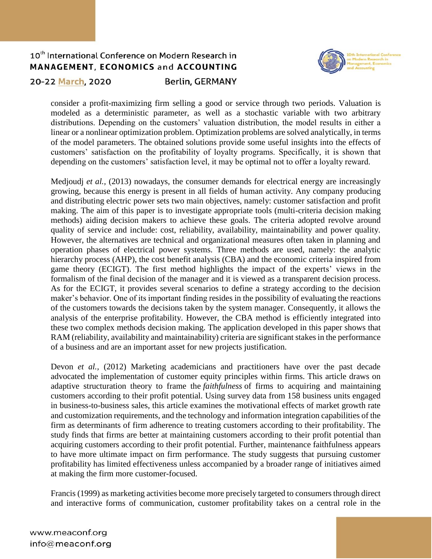

consider a profit-maximizing firm selling a good or service through two periods. Valuation is modeled as a deterministic parameter, as well as a stochastic variable with two arbitrary distributions. Depending on the customers' valuation distribution, the model results in either a linear or a nonlinear optimization problem. Optimization problems are solved analytically, in terms of the model parameters. The obtained solutions provide some useful insights into the effects of customers' satisfaction on the profitability of loyalty programs. Specifically, it is shown that depending on the customers' satisfaction level, it may be optimal not to offer a loyalty reward.

Medjoudj *et al.,* (2013) nowadays, the consumer demands for electrical energy are increasingly growing, because this energy is present in all fields of human activity. Any company producing and distributing electric power sets two main objectives, namely: customer satisfaction and profit making. The aim of this paper is to investigate appropriate tools (multi-criteria decision making methods) aiding decision makers to achieve these goals. The criteria adopted revolve around quality of service and include: cost, reliability, availability, maintainability and power quality. However, the alternatives are technical and organizational measures often taken in planning and operation phases of electrical power systems. Three methods are used, namely: the analytic hierarchy process (AHP), the cost benefit analysis (CBA) and the economic criteria inspired from game theory (ECIGT). The first method highlights the impact of the experts' views in the formalism of the final decision of the manager and it is viewed as a transparent decision process. As for the ECIGT, it provides several scenarios to define a strategy according to the decision maker's behavior. One of its important finding resides in the possibility of evaluating the reactions of the customers towards the decisions taken by the system manager. Consequently, it allows the analysis of the enterprise profitability. However, the CBA method is efficiently integrated into these two complex methods decision making. The application developed in this paper shows that RAM (reliability, availability and maintainability) criteria are significant stakes in the performance of a business and are an important asset for new projects justification.

Devon *et al.,* (2012) Marketing academicians and practitioners have over the past decade advocated the implementation of customer equity principles within firms. This article draws on adaptive structuration theory to frame the *faithfulness* of firms to acquiring and maintaining customers according to their profit potential. Using survey data from 158 business units engaged in business-to-business sales, this article examines the motivational effects of market growth rate and customization requirements, and the technology and information integration capabilities of the firm as determinants of firm adherence to treating customers according to their profitability. The study finds that firms are better at maintaining customers according to their profit potential than acquiring customers according to their profit potential. Further, maintenance faithfulness appears to have more ultimate impact on firm performance. The study suggests that pursuing customer profitability has limited effectiveness unless accompanied by a broader range of initiatives aimed at making the firm more customer-focused.

Francis (1999) as marketing activities become more precisely targeted to consumers through direct and interactive forms of communication, customer profitability takes on a central role in the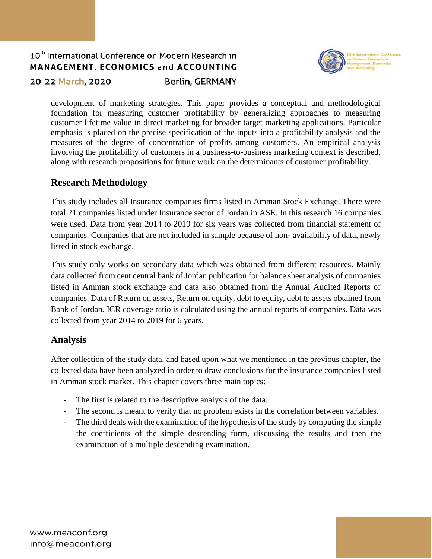

20-22 March, 2020

**Berlin, GERMANY** 

development of marketing strategies. This paper provides a conceptual and methodological foundation for measuring customer profitability by generalizing approaches to measuring customer lifetime value in direct marketing for broader target marketing applications. Particular emphasis is placed on the precise specification of the inputs into a profitability analysis and the measures of the degree of concentration of profits among customers. An empirical analysis involving the profitability of customers in a business-to-business marketing context is described, along with research propositions for future work on the determinants of customer profitability.

# **Research Methodology**

This study includes all Insurance companies firms listed in Amman Stock Exchange. There were total 21 companies listed under Insurance sector of Jordan in ASE. In this research 16 companies were used. Data from year 2014 to 2019 for six years was collected from financial statement of companies. Companies that are not included in sample because of non- availability of data, newly listed in stock exchange.

This study only works on secondary data which was obtained from different resources. Mainly data collected from cent central bank of Jordan publication for balance sheet analysis of companies listed in Amman stock exchange and data also obtained from the Annual Audited Reports of companies. Data of Return on assets, Return on equity, debt to equity, debt to assets obtained from Bank of Jordan. ICR coverage ratio is calculated using the annual reports of companies. Data was collected from year 2014 to 2019 for 6 years.

# **Analysis**

After collection of the study data, and based upon what we mentioned in the previous chapter, the collected data have been analyzed in order to draw conclusions for the insurance companies listed in Amman stock market. This chapter covers three main topics:

- The first is related to the descriptive analysis of the data.
- The second is meant to verify that no problem exists in the correlation between variables.
- The third deals with the examination of the hypothesis of the study by computing the simple the coefficients of the simple descending form, discussing the results and then the examination of a multiple descending examination.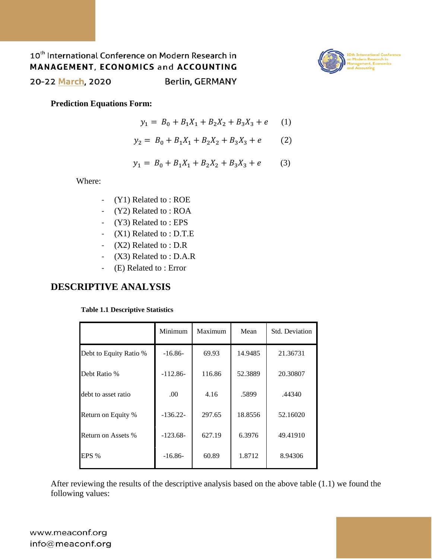

20-22 March, 2020

**Berlin, GERMANY** 

### **Prediction Equations Form:**

$$
y_1 = B_0 + B_1 X_1 + B_2 X_2 + B_3 X_3 + e \qquad (1)
$$

$$
y_2 = B_0 + B_1 X_1 + B_2 X_2 + B_3 X_3 + e \tag{2}
$$

$$
y_1 = B_0 + B_1 X_1 + B_2 X_2 + B_3 X_3 + e \tag{3}
$$

Where:

- (Y1) Related to : ROE
- (Y2) Related to : ROA
- (Y3) Related to : EPS
- (X1) Related to : D.T.E
- (X2) Related to : D.R
- (X3) Related to : D.A.R
- (E) Related to: Error

## **DESCRIPTIVE ANALYSIS**

#### **Table 1.1 Descriptive Statistics**

|                        | Minimum    | Maximum | Mean    | Std. Deviation |
|------------------------|------------|---------|---------|----------------|
| Debt to Equity Ratio % | $-16.86-$  | 69.93   | 14.9485 | 21.36731       |
| Debt Ratio %           | $-112.86-$ | 116.86  | 52.3889 | 20.30807       |
| debt to asset ratio    | .00.       | 4.16    | .5899   | .44340         |
| Return on Equity %     | $-136.22-$ | 297.65  | 18.8556 | 52.16020       |
| Return on Assets %     | $-123.68-$ | 627.19  | 6.3976  | 49.41910       |
| EPS %                  | $-16.86-$  | 60.89   | 1.8712  | 8.94306        |

After reviewing the results of the descriptive analysis based on the above table (1.1) we found the following values:

www.meaconf.org info@meaconf.org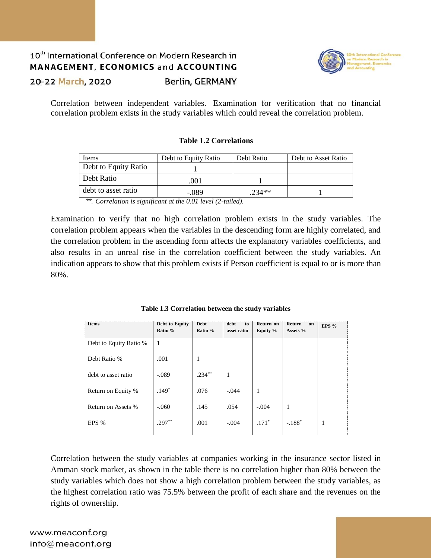

20-22 March, 2020

**Berlin, GERMANY** 

Correlation between independent variables. Examination for verification that no financial correlation problem exists in the study variables which could reveal the correlation problem.

#### **Table 1.2 Correlations**

| Items                | Debt to Equity Ratio | Debt Ratio | Debt to Asset Ratio |
|----------------------|----------------------|------------|---------------------|
| Debt to Equity Ratio |                      |            |                     |
| Debt Ratio           | 001                  |            |                     |
| debt to asset ratio  | - 089                | $234**$    |                     |

 *\*\*. Correlation is significant at the 0.01 level (2-tailed).*

Examination to verify that no high correlation problem exists in the study variables. The correlation problem appears when the variables in the descending form are highly correlated, and the correlation problem in the ascending form affects the explanatory variables coefficients, and also results in an unreal rise in the correlation coefficient between the study variables. An indication appears to show that this problem exists if Person coefficient is equal to or is more than 80%.

| <b>Items</b>           | Debt to Equity<br>Ratio % | Debt<br>Ratio % | debt<br>to<br>asset ratio | Return on<br>Equity $%$ | Return<br>on<br>Assets % | EPS $%$ |
|------------------------|---------------------------|-----------------|---------------------------|-------------------------|--------------------------|---------|
| Debt to Equity Ratio % |                           |                 |                           |                         |                          |         |
| Debt Ratio %           | .001                      | 1               |                           |                         |                          |         |
| debt to asset ratio    | $-.089$                   | $.234***$       | 1                         |                         |                          |         |
| Return on Equity %     | $.149*$                   | .076            | $-.044$                   |                         |                          |         |
| Return on Assets %     | $-.060$                   | .145            | .054                      | $-.004$                 |                          |         |
| EPS %                  | $.297**$                  | .001            | $-.004$                   | $.171*$                 | $-.188*$                 |         |

**Table 1.3 Correlation between the study variables**

Correlation between the study variables at companies working in the insurance sector listed in Amman stock market, as shown in the table there is no correlation higher than 80% between the study variables which does not show a high correlation problem between the study variables, as the highest correlation ratio was 75.5% between the profit of each share and the revenues on the rights of ownership.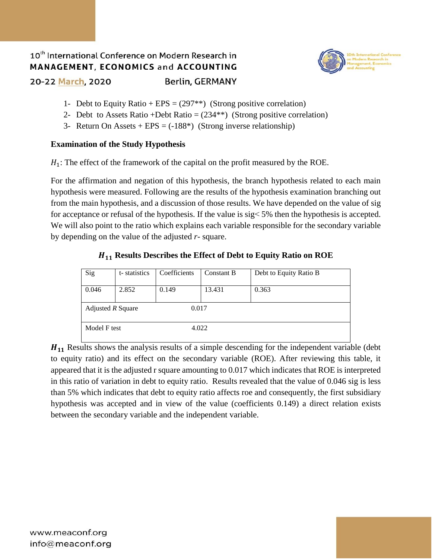

**Berlin, GERMANY** 

- 1- Debt to Equity Ratio + EPS =  $(297**)$  (Strong positive correlation)
- 2- Debt to Assets Ratio +Debt Ratio =  $(234**)$  (Strong positive correlation)
- 3- Return On Assets +  $EPS = (-188^*)$  (Strong inverse relationship)

## **Examination of the Study Hypothesis**

 $H_1$ : The effect of the framework of the capital on the profit measured by the ROE.

For the affirmation and negation of this hypothesis, the branch hypothesis related to each main hypothesis were measured. Following are the results of the hypothesis examination branching out from the main hypothesis, and a discussion of those results. We have depended on the value of sig for acceptance or refusal of the hypothesis. If the value is  $sig < 5\%$  then the hypothesis is accepted. We will also point to the ratio which explains each variable responsible for the secondary variable by depending on the value of the adjusted *r*- square.

| Sig                 | t-statistics | Coefficients | Constant B | Debt to Equity Ratio B |
|---------------------|--------------|--------------|------------|------------------------|
| 0.046               | 2.852        | 0.149        | 13.431     | 0.363                  |
| Adjusted $R$ Square |              |              | 0.017      |                        |
| Model F test        |              | 4.022        |            |                        |

## **Results Describes the Effect of Debt to Equity Ratio on ROE**

 $H_{11}$  Results shows the analysis results of a simple descending for the independent variable (debt to equity ratio) and its effect on the secondary variable (ROE). After reviewing this table, it appeared that it is the adjusted r square amounting to 0.017 which indicates that ROE is interpreted in this ratio of variation in debt to equity ratio. Results revealed that the value of 0.046 sig is less than 5% which indicates that debt to equity ratio affects roe and consequently, the first subsidiary hypothesis was accepted and in view of the value (coefficients 0.149) a direct relation exists between the secondary variable and the independent variable.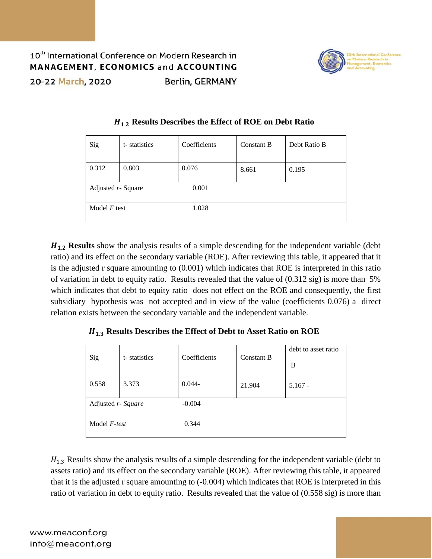

| Sig                | t-statistics | Coefficients | Constant B | Debt Ratio B |
|--------------------|--------------|--------------|------------|--------------|
| 0.312              | 0.803        | 0.076        | 8.661      | 0.195        |
| Adjusted r- Square |              | 0.001        |            |              |
| Model $F$ test     |              | 1.028        |            |              |

## . **Results Describes the Effect of ROE on Debt Ratio**

 $H_{1,2}$  **Results** show the analysis results of a simple descending for the independent variable (debt ratio) and its effect on the secondary variable (ROE). After reviewing this table, it appeared that it is the adjusted r square amounting to (0.001) which indicates that ROE is interpreted in this ratio of variation in debt to equity ratio. Results revealed that the value of (0.312 sig) is more than 5% which indicates that debt to equity ratio does not effect on the ROE and consequently, the first subsidiary hypothesis was not accepted and in view of the value (coefficients 0.076) a direct relation exists between the secondary variable and the independent variable.

. **Results Describes the Effect of Debt to Asset Ratio on ROE**

| Sig                 | t-statistics | Coefficients | Constant B | debt to asset ratio<br>B |
|---------------------|--------------|--------------|------------|--------------------------|
| 0.558               | 3.373        | $0.044 -$    | 21.904     | $5.167 -$                |
| Adjusted r- Square  |              | $-0.004$     |            |                          |
| Model <i>F-test</i> |              | 0.344        |            |                          |

 $H_{1,3}$  Results show the analysis results of a simple descending for the independent variable (debt to assets ratio) and its effect on the secondary variable (ROE). After reviewing this table, it appeared that it is the adjusted r square amounting to (-0.004) which indicates that ROE is interpreted in this ratio of variation in debt to equity ratio. Results revealed that the value of (0.558 sig) is more than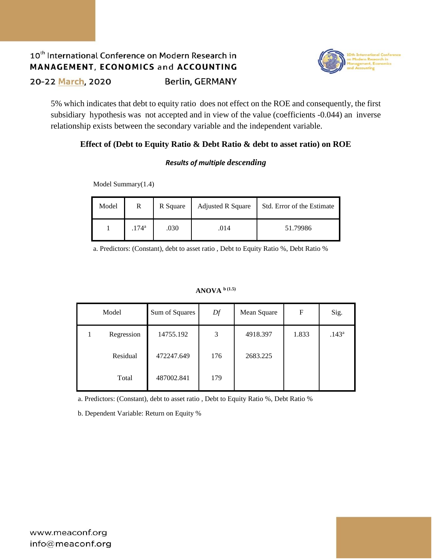

5% which indicates that debt to equity ratio does not effect on the ROE and consequently, the first subsidiary hypothesis was not accepted and in view of the value (coefficients -0.044) an inverse relationship exists between the secondary variable and the independent variable.

## **Effect of (Debt to Equity Ratio & Debt Ratio & debt to asset ratio) on ROE**

#### *Results of multiple descending*

Model Summary(1.4)

| Model |                | R Square | <b>Adjusted R Square</b> | Std. Error of the Estimate |
|-------|----------------|----------|--------------------------|----------------------------|
|       | $.174^{\rm a}$ | .030     | .014                     | 51.79986                   |

a. Predictors: (Constant), debt to asset ratio , Debt to Equity Ratio %, Debt Ratio %

#### **ANOVA b (1.5)**

| Model      | Sum of Squares | Df  | Mean Square | F     | Sig.           |
|------------|----------------|-----|-------------|-------|----------------|
| Regression | 14755.192      | 3   | 4918.397    | 1.833 | $.143^{\rm a}$ |
| Residual   | 472247.649     | 176 | 2683.225    |       |                |
| Total      | 487002.841     | 179 |             |       |                |

a. Predictors: (Constant), debt to asset ratio , Debt to Equity Ratio %, Debt Ratio %

b. Dependent Variable: Return on Equity %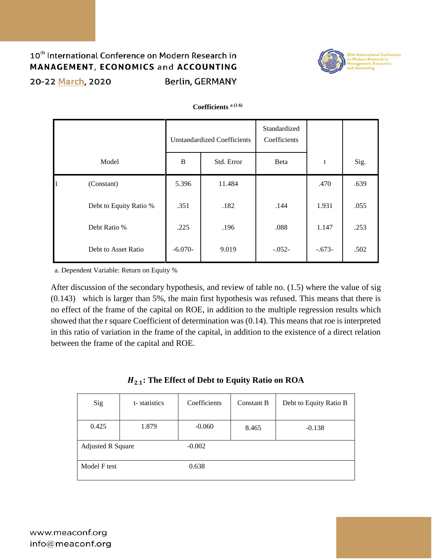

#### **Coefficients a (1.6)**

|   |                        | <b>Unstandardized Coefficients</b> |            | Standardized<br>Coefficients |          |      |
|---|------------------------|------------------------------------|------------|------------------------------|----------|------|
|   | Model                  | $\, {\bf B}$                       | Std. Error | Beta                         | t        | Sig. |
| 1 | (Constant)             | 5.396                              | 11.484     |                              | .470     | .639 |
|   | Debt to Equity Ratio % | .351                               | .182       | .144                         | 1.931    | .055 |
|   | Debt Ratio %           | .225                               | .196       | .088                         | 1.147    | .253 |
|   | Debt to Asset Ratio    | $-6.070-$                          | 9.019      | $-.052-$                     | $-.673-$ | .502 |

a. Dependent Variable: Return on Equity %

After discussion of the secondary hypothesis, and review of table no. (1.5) where the value of sig (0.143) which is larger than 5%, the main first hypothesis was refused. This means that there is no effect of the frame of the capital on ROE, in addition to the multiple regression results which showed that the r square Coefficient of determination was (0.14). This means that roe is interpreted in this ratio of variation in the frame of the capital, in addition to the existence of a direct relation between the frame of the capital and ROE.

| Sig                      | t-statistics | Coefficients | <b>Constant B</b> | Debt to Equity Ratio B |
|--------------------------|--------------|--------------|-------------------|------------------------|
| 0.425                    | 1.879        | $-0.060$     | 8.465             | $-0.138$               |
| <b>Adjusted R Square</b> |              | $-0.002$     |                   |                        |
| Model F test             |              | 0.638        |                   |                        |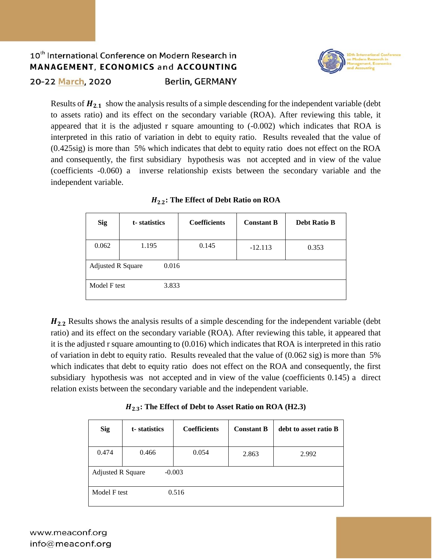

Results of  $H_{2,1}$  show the analysis results of a simple descending for the independent variable (debt to assets ratio) and its effect on the secondary variable (ROA). After reviewing this table, it appeared that it is the adjusted r square amounting to (-0.002) which indicates that ROA is interpreted in this ratio of variation in debt to equity ratio. Results revealed that the value of (0.425sig) is more than 5% which indicates that debt to equity ratio does not effect on the ROA and consequently, the first subsidiary hypothesis was not accepted and in view of the value (coefficients -0.060) a inverse relationship exists between the secondary variable and the independent variable.

| <b>Sig</b>               | t-statistics |       | <b>Coefficients</b> | <b>Constant B</b> | <b>Debt Ratio B</b> |
|--------------------------|--------------|-------|---------------------|-------------------|---------------------|
| 0.062                    | 1.195        |       | 0.145               | $-12.113$         | 0.353               |
| <b>Adjusted R Square</b> |              | 0.016 |                     |                   |                     |
| Model F test             |              | 3.833 |                     |                   |                     |

.**: The Effect of Debt Ratio on ROA** 

 $H_{2,2}$  Results shows the analysis results of a simple descending for the independent variable (debt ratio) and its effect on the secondary variable (ROA). After reviewing this table, it appeared that it is the adjusted r square amounting to (0.016) which indicates that ROA is interpreted in this ratio of variation in debt to equity ratio. Results revealed that the value of (0.062 sig) is more than 5% which indicates that debt to equity ratio does not effect on the ROA and consequently, the first subsidiary hypothesis was not accepted and in view of the value (coefficients 0.145) a direct relation exists between the secondary variable and the independent variable.

.**: The Effect of Debt to Asset Ratio on ROA (H2.3)**

| <b>Sig</b>                           | t-statistics | <b>Coefficients</b> | <b>Constant B</b> | debt to asset ratio B |  |  |
|--------------------------------------|--------------|---------------------|-------------------|-----------------------|--|--|
| 0.474                                | 0.466        | 0.054               | 2.863             | 2.992                 |  |  |
| <b>Adjusted R Square</b><br>$-0.003$ |              |                     |                   |                       |  |  |
| Model F test                         |              | 0.516               |                   |                       |  |  |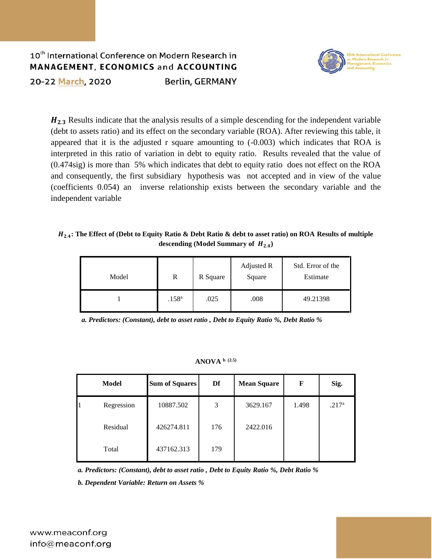

 $H_{2,3}$  Results indicate that the analysis results of a simple descending for the independent variable (debt to assets ratio) and its effect on the secondary variable (ROA). After reviewing this table, it appeared that it is the adjusted r square amounting to (-0.003) which indicates that ROA is interpreted in this ratio of variation in debt to equity ratio. Results revealed that the value of (0.474sig) is more than 5% which indicates that debt to equity ratio does not effect on the ROA and consequently, the first subsidiary hypothesis was not accepted and in view of the value (coefficients 0.054) an inverse relationship exists between the secondary variable and the independent variable

#### .**: The Effect of (Debt to Equity Ratio & Debt Ratio & debt to asset ratio) on ROA Results of multiple**  descending (Model Summary of  $H_{2,4}$ )

| Model | R Square          |      | Adjusted R | Std. Error of the |
|-------|-------------------|------|------------|-------------------|
|       | R                 |      | Square     | Estimate          |
|       | .158 <sup>a</sup> | .025 | .008       | 49.21398          |

*a. Predictors: (Constant), debt to asset ratio , Debt to Equity Ratio %, Debt Ratio %*

#### **ANOVA b (2.5)**

| Model            | <b>Sum of Squares</b> | Df  | <b>Mean Square</b> | F     | Sig.              |
|------------------|-----------------------|-----|--------------------|-------|-------------------|
| Regression<br>11 | 10887.502             | 3   | 3629.167           | 1.498 | .217 <sup>a</sup> |
| Residual         | 426274.811            | 176 | 2422.016           |       |                   |
| Total            | 437162.313            | 179 |                    |       |                   |

*a. Predictors: (Constant), debt to asset ratio , Debt to Equity Ratio %, Debt Ratio %*

*b. Dependent Variable: Return on Assets %*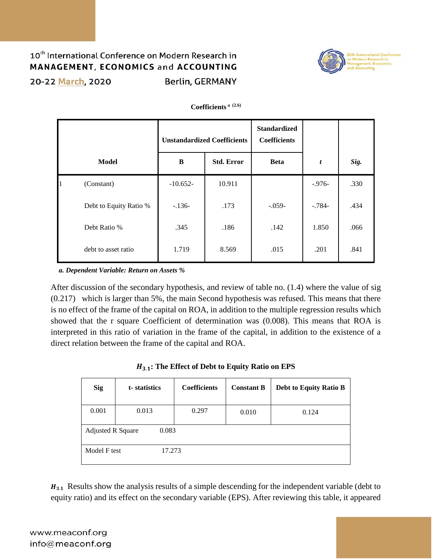

|             |                        | <b>Unstandardized Coefficients</b> |                   | <b>Standardized</b><br><b>Coefficients</b> |           |      |
|-------------|------------------------|------------------------------------|-------------------|--------------------------------------------|-----------|------|
|             | Model                  | B                                  | <b>Std. Error</b> | <b>Beta</b>                                | t         | Sig. |
| $\mathbf 1$ | (Constant)             | $-10.652-$                         | 10.911            |                                            | $-0.976-$ | .330 |
|             | Debt to Equity Ratio % | $-136-$                            | .173              | $-.059-$                                   | $-.784-$  | .434 |
|             | Debt Ratio %           | .345                               | .186              | .142                                       | 1.850     | .066 |
|             | debt to asset ratio    | 1.719                              | 8.569             | .015                                       | .201      | .841 |

#### **Coefficients a (2.6)**

*a. Dependent Variable: Return on Assets %*

After discussion of the secondary hypothesis, and review of table no. (1.4) where the value of sig (0.217) which is larger than 5%, the main Second hypothesis was refused. This means that there is no effect of the frame of the capital on ROA, in addition to the multiple regression results which showed that the r square Coefficient of determination was (0.008). This means that ROA is interpreted in this ratio of variation in the frame of the capital, in addition to the existence of a direct relation between the frame of the capital and ROA.

| $H_{3.1}$ : The Effect of Debt to Equity Ratio on EPS |  |  |  |  |  |
|-------------------------------------------------------|--|--|--|--|--|
|-------------------------------------------------------|--|--|--|--|--|

| <b>Sig</b>               | t-statistics | <b>Coefficients</b> | <b>Constant B</b> | <b>Debt to Equity Ratio B</b> |
|--------------------------|--------------|---------------------|-------------------|-------------------------------|
| 0.001                    | 0.013        | 0.297               | 0.010             | 0.124                         |
| <b>Adjusted R Square</b> | 0.083        |                     |                   |                               |
| Model F test             | 17.273       |                     |                   |                               |

 $H_{3,1}$  Results show the analysis results of a simple descending for the independent variable (debt to equity ratio) and its effect on the secondary variable (EPS). After reviewing this table, it appeared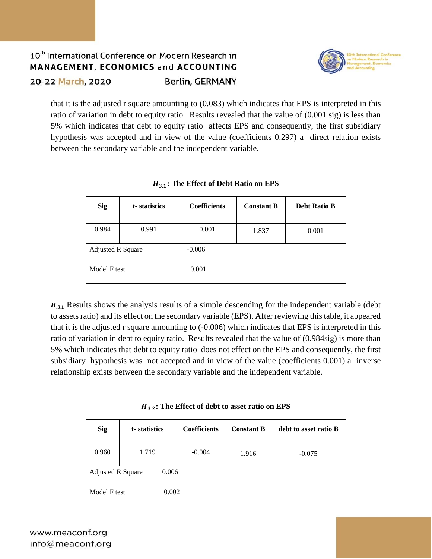

that it is the adjusted r square amounting to (0.083) which indicates that EPS is interpreted in this ratio of variation in debt to equity ratio. Results revealed that the value of (0.001 sig) is less than 5% which indicates that debt to equity ratio affects EPS and consequently, the first subsidiary hypothesis was accepted and in view of the value (coefficients 0.297) a direct relation exists between the secondary variable and the independent variable.

| <b>Sig</b>               | t-statistics | <b>Coefficients</b> | <b>Constant B</b> | <b>Debt Ratio B</b> |
|--------------------------|--------------|---------------------|-------------------|---------------------|
| 0.984                    | 0.991        | 0.001               | 1.837             | 0.001               |
| <b>Adjusted R Square</b> |              | $-0.006$            |                   |                     |
| Model F test             |              | 0.001               |                   |                     |

 $H_{3,1}$  Results shows the analysis results of a simple descending for the independent variable (debt to assets ratio) and its effect on the secondary variable (EPS). After reviewing this table, it appeared that it is the adjusted r square amounting to (-0.006) which indicates that EPS is interpreted in this ratio of variation in debt to equity ratio. Results revealed that the value of (0.984sig) is more than 5% which indicates that debt to equity ratio does not effect on the EPS and consequently, the first subsidiary hypothesis was not accepted and in view of the value (coefficients 0.001) a inverse relationship exists between the secondary variable and the independent variable.

| $H_{3.2}$ : The Effect of debt to asset ratio on EPS |  |  |  |  |  |  |  |  |  |  |
|------------------------------------------------------|--|--|--|--|--|--|--|--|--|--|
|------------------------------------------------------|--|--|--|--|--|--|--|--|--|--|

| <b>Sig</b>                        | t-statistics | <b>Coefficients</b> | <b>Constant B</b> | debt to asset ratio B |  |
|-----------------------------------|--------------|---------------------|-------------------|-----------------------|--|
| 0.960                             | 1.719        | $-0.004$            | 1.916             | $-0.075$              |  |
| 0.006<br><b>Adjusted R Square</b> |              |                     |                   |                       |  |
| Model F test                      |              | 0.002               |                   |                       |  |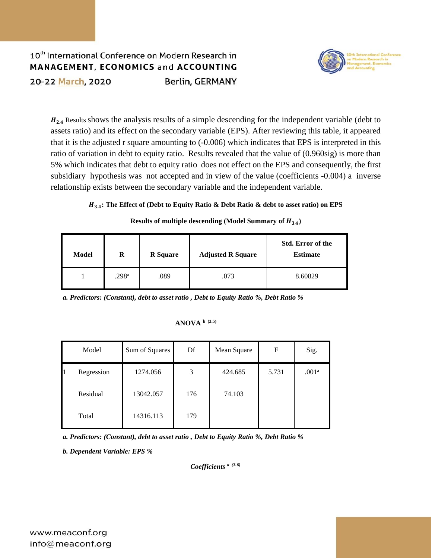

 $H_{2,4}$  Results shows the analysis results of a simple descending for the independent variable (debt to assets ratio) and its effect on the secondary variable (EPS). After reviewing this table, it appeared that it is the adjusted r square amounting to (-0.006) which indicates that EPS is interpreted in this ratio of variation in debt to equity ratio. Results revealed that the value of (0.960sig) is more than 5% which indicates that debt to equity ratio does not effect on the EPS and consequently, the first subsidiary hypothesis was not accepted and in view of the value (coefficients -0.004) a inverse relationship exists between the secondary variable and the independent variable.

#### .**: The Effect of (Debt to Equity Ratio & Debt Ratio & debt to asset ratio) on EPS**

| <b>Model</b> | R                 | <b>R</b> Square | <b>Adjusted R Square</b> | Std. Error of the<br><b>Estimate</b> |
|--------------|-------------------|-----------------|--------------------------|--------------------------------------|
|              | .298 <sup>a</sup> | .089            | .073                     | 8.60829                              |

#### **Results of multiple descending (Model Summary of**  $H_{3,4}$ **)**

*a. Predictors: (Constant), debt to asset ratio , Debt to Equity Ratio %, Debt Ratio %*

#### **ANOVA b (3.5)**

|   | Model      | Sum of Squares | Df  | Mean Square | F     | Sig.              |
|---|------------|----------------|-----|-------------|-------|-------------------|
| Ш | Regression | 1274.056       | 3   | 424.685     | 5.731 | .001 <sup>a</sup> |
|   | Residual   | 13042.057      | 176 | 74.103      |       |                   |
|   | Total      | 14316.113      | 179 |             |       |                   |

*a. Predictors: (Constant), debt to asset ratio , Debt to Equity Ratio %, Debt Ratio %*

*b. Dependent Variable: EPS %*

*Coefficients a (3.6)*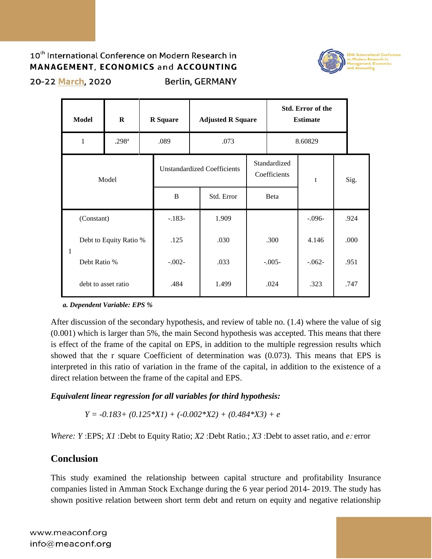

20-22 March, 2020

**Berlin, GERMANY** 

| Model                  |                        | $\bf{R}$ | <b>R</b> Square |                                    | <b>Adjusted R Square</b> |                    |                              | Std. Error of the<br><b>Estimate</b> |          |  |      |  |
|------------------------|------------------------|----------|-----------------|------------------------------------|--------------------------|--------------------|------------------------------|--------------------------------------|----------|--|------|--|
| 1<br>.298 <sup>a</sup> |                        |          | .089            |                                    | .073                     |                    | 8.60829                      |                                      |          |  |      |  |
| Model                  |                        |          |                 | <b>Unstandardized Coefficients</b> |                          |                    | Standardized<br>Coefficients |                                      | t        |  | Sig. |  |
|                        |                        |          |                 | B                                  |                          | Std. Error<br>Beta |                              |                                      |          |  |      |  |
|                        | (Constant)             |          |                 | $-.183-$                           |                          | 1.909              |                              |                                      | $-.096-$ |  | .924 |  |
| 1                      | Debt to Equity Ratio % |          |                 | .125                               |                          | .030               |                              | .300                                 | 4.146    |  | .000 |  |
|                        | Debt Ratio %           |          |                 | $-.002-$                           |                          | .033               |                              | $-.005-$                             | $-.062-$ |  | .951 |  |
|                        | debt to asset ratio    |          |                 | .484                               |                          | 1.499              |                              | .024                                 | .323     |  | .747 |  |

#### *a. Dependent Variable: EPS %*

After discussion of the secondary hypothesis, and review of table no. (1.4) where the value of sig (0.001) which is larger than 5%, the main Second hypothesis was accepted. This means that there is effect of the frame of the capital on EPS, in addition to the multiple regression results which showed that the r square Coefficient of determination was (0.073). This means that EPS is interpreted in this ratio of variation in the frame of the capital, in addition to the existence of a direct relation between the frame of the capital and EPS.

### *Equivalent linear regression for all variables for third hypothesis:*

 *Y = -0.183+ (0.125\*X1) + (-0.002\*X2) + (0.484\*X3) + e*

*Where: Y* :EPS; *X1* :Debt to Equity Ratio; *X2* :Debt Ratio.; *X3* :Debt to asset ratio, and *e*: error

## **Conclusion**

This study examined the relationship between capital structure and profitability Insurance companies listed in Amman Stock Exchange during the 6 year period 2014- 2019. The study has shown positive relation between short term debt and return on equity and negative relationship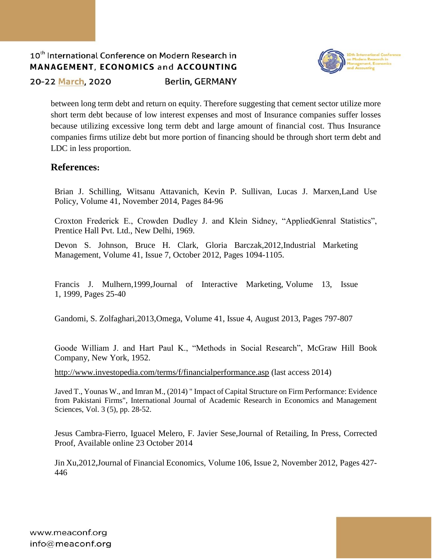### 10<sup>th</sup> International Conference on Modern Research in MANAGEMENT, ECONOMICS and ACCOUNTING **Berlin, GERMANY** 20-22 March, 2020



between long term debt and return on equity. Therefore suggesting that cement sector utilize more short term debt because of low interest expenses and most of Insurance companies suffer losses because utilizing excessive long term debt and large amount of financial cost. Thus Insurance companies firms utilize debt but more portion of financing should be through short term debt and LDC in less proportion.

## **References:**

Brian J. Schilling, Witsanu Attavanich, Kevin P. Sullivan, Lucas J. Marxen,Land Use Policy, Volume 41, November 2014, Pages 84-96

Croxton Frederick E., Crowden Dudley J. and Klein Sidney, "AppliedGenral Statistics", Prentice Hall Pvt. Ltd., New Delhi, 1969.

 Devon S. Johnson, Bruce H. Clark, Gloria Barczak,2012,Industrial Marketing Management, Volume 41, Issue 7, October 2012, Pages 1094-1105.

 Francis J. Mulhern,1999,Journal of Interactive Marketing, Volume 13, Issue 1, 1999, Pages 25-40

Gandomi, S. Zolfaghari,2013,Omega, Volume 41, Issue 4, August 2013, Pages 797-807

Goode William J. and Hart Paul K., "Methods in Social Research", McGraw Hill Book Company, New York, 1952.

<http://www.investopedia.com/terms/f/financialperformance.asp> (last access 2014)

Javed T., Younas W., and Imran M., (2014) " Impact of Capital Structure on Firm Performance: Evidence from Pakistani Firms", International Journal of Academic Research in Economics and Management Sciences, Vol. 3 (5), pp. 28-52.

Jesus Cambra-Fierro, Iguacel Melero, F. Javier Sese,Journal of Retailing, In Press, Corrected Proof, Available online 23 October 2014

Jin Xu,2012,Journal of Financial Economics, Volume 106, Issue 2, November 2012, Pages 427- 446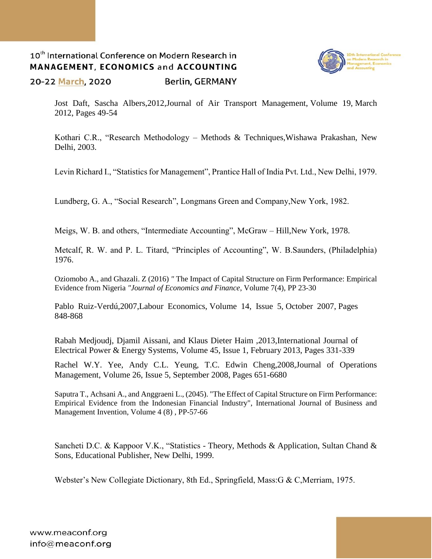

20-22 March, 2020

**Berlin, GERMANY** 

 Jost Daft, Sascha Albers,2012,Journal of Air Transport Management, Volume 19, March 2012, Pages 49-54

Kothari C.R., "Research Methodology – Methods & Techniques,Wishawa Prakashan, New Delhi, 2003.

Levin Richard I., "Statistics for Management", Prantice Hall of India Pvt. Ltd., New Delhi, 1979.

Lundberg, G. A., "Social Research", Longmans Green and Company,New York, 1982.

Meigs, W. B. and others, "Intermediate Accounting", McGraw – Hill,New York, 1978.

Metcalf, R. W. and P. L. Titard, "Principles of Accounting", W. B.Saunders, (Philadelphia) 1976.

Oziomobo A., and Ghazali. Z (2016) *"* The Impact of Capital Structure on Firm Performance: Empirical Evidence from Nigeria *"Journal of Economics and Finance*, Volume 7(4), PP 23-30

 Pablo Ruiz-Verdú,2007,Labour Economics, Volume 14, Issue 5, October 2007, Pages 848-868

Rabah Medjoudj, Djamil Aissani, and Klaus Dieter Haim ,2013,International Journal of Electrical Power & Energy Systems, Volume 45, Issue 1, February 2013, Pages 331-339

Rachel W.Y. Yee, Andy C.L. Yeung, T.C. Edwin Cheng,2008,Journal of Operations Management, Volume 26, Issue 5, September 2008, Pages 651-6680

Saputra T., Achsani A., and Anggraeni L., (2045). "The Effect of Capital Structure on Firm Performance: Empirical Evidence from the Indonesian Financial Industry", International Journal of Business and Management Invention, Volume 4 (8) , PP-57-66

Sancheti D.C. & Kappoor V.K., "Statistics - Theory, Methods & Application, Sultan Chand & Sons, Educational Publisher, New Delhi, 1999.

Webster's New Collegiate Dictionary, 8th Ed., Springfield, Mass:G & C,Merriam, 1975.